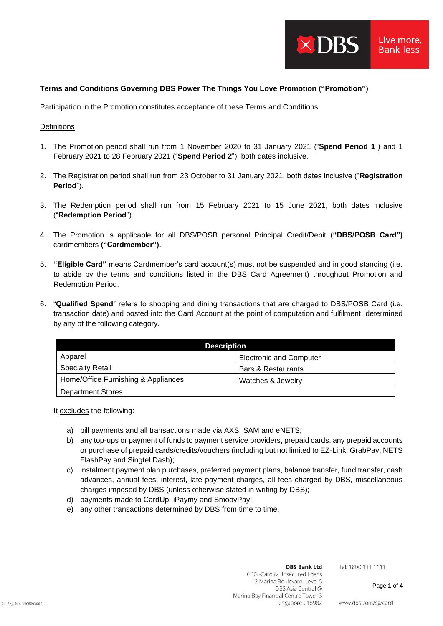

# **Terms and Conditions Governing DBS Power The Things You Love Promotion ("Promotion")**

Participation in the Promotion constitutes acceptance of these Terms and Conditions.

## **Definitions**

- 1. The Promotion period shall run from 1 November 2020 to 31 January 2021 ("**Spend Period 1**") and 1 February 2021 to 28 February 2021 ("**Spend Period 2**"), both dates inclusive.
- 2. The Registration period shall run from 23 October to 31 January 2021, both dates inclusive ("**Registration Period**").
- 3. The Redemption period shall run from 15 February 2021 to 15 June 2021, both dates inclusive ("**Redemption Period**").
- 4. The Promotion is applicable for all DBS/POSB personal Principal Credit/Debit **("DBS/POSB Card")** cardmembers **("Cardmember")**.
- 5. **"Eligible Card"** means Cardmember's card account(s) must not be suspended and in good standing (i.e. to abide by the terms and conditions listed in the DBS Card Agreement) throughout Promotion and Redemption Period.
- 6. "**Qualified Spend**" refers to shopping and dining transactions that are charged to DBS/POSB Card (i.e. transaction date) and posted into the Card Account at the point of computation and fulfilment, determined by any of the following category.

| <b>Description</b>                  |                                |  |
|-------------------------------------|--------------------------------|--|
| Apparel                             | <b>Electronic and Computer</b> |  |
| <b>Specialty Retail</b>             | Bars & Restaurants             |  |
| Home/Office Furnishing & Appliances | Watches & Jewelry              |  |
| <b>Department Stores</b>            |                                |  |

It excludes the following:

- a) bill payments and all transactions made via AXS, SAM and eNETS;
- b) any top-ups or payment of funds to payment service providers, prepaid cards, any prepaid accounts or purchase of prepaid cards/credits/vouchers (including but not limited to EZ-Link, GrabPay, NETS FlashPay and Singtel Dash);
- c) instalment payment plan purchases, preferred payment plans, balance transfer, fund transfer, cash advances, annual fees, interest, late payment charges, all fees charged by DBS, miscellaneous charges imposed by DBS (unless otherwise stated in writing by DBS);
- d) payments made to CardUp, iPaymy and SmoovPay;
- e) any other transactions determined by DBS from time to time.

#### **DBS Bank Ltd**

Tel: 1800 111 1111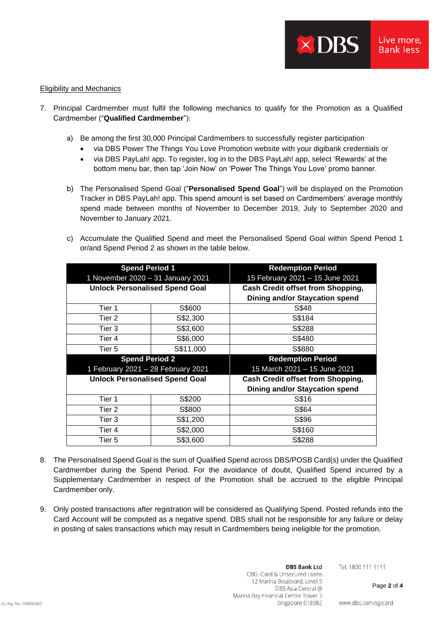### Eligibility and Mechanics

- 7. Principal Cardmember must fulfil the following mechanics to qualify for the Promotion as a Qualified Cardmember ("**Qualified Cardmember**"):
	- a) Be among the first 30,000 Principal Cardmembers to successfully register participation
		- via DBS Power The Things You Love Promotion website with your digibank credentials or
		- via DBS PayLah! app. To register, log in to the DBS PayLah! app, select 'Rewards' at the bottom menu bar, then tap 'Join Now' on 'Power The Things You Love' promo banner.
	- b) The Personalised Spend Goal ("**Personalised Spend Goal**") will be displayed on the Promotion Tracker in DBS PayLah! app. This spend amount is set based on Cardmembers' average monthly spend made between months of November to December 2019, July to September 2020 and November to January 2021.
	- c) Accumulate the Qualified Spend and meet the Personalised Spend Goal within Spend Period 1 or/and Spend Period 2 as shown in the table below.

| <b>Spend Period 1</b>                 |           | <b>Redemption Period</b>                 |
|---------------------------------------|-----------|------------------------------------------|
| 1 November 2020 - 31 January 2021     |           | 15 February 2021 - 15 June 2021          |
| <b>Unlock Personalised Spend Goal</b> |           | <b>Cash Credit offset from Shopping,</b> |
|                                       |           | <b>Dining and/or Staycation spend</b>    |
| Tier 1                                | S\$600    | S\$48                                    |
| Tier 2                                | S\$2,300  | S\$184                                   |
| Tier 3                                | S\$3,600  | S\$288                                   |
| Tier 4                                | S\$6,000  | S\$480                                   |
| Tier 5                                | S\$11,000 | S\$880                                   |
|                                       |           |                                          |
| <b>Spend Period 2</b>                 |           | <b>Redemption Period</b>                 |
| 1 February 2021 - 28 February 2021    |           | 15 March 2021 - 15 June 2021             |
| <b>Unlock Personalised Spend Goal</b> |           | <b>Cash Credit offset from Shopping,</b> |
|                                       |           | <b>Dining and/or Staycation spend</b>    |
| Tier 1                                | S\$200    | S\$16                                    |
| Tier 2                                | S\$800    | S\$64                                    |
| Tier 3                                | S\$1,200  | S\$96                                    |
| Tier 4                                | S\$2,000  | S\$160                                   |

- 8. The Personalised Spend Goal is the sum of Qualified Spend across DBS/POSB Card(s) under the Qualified Cardmember during the Spend Period. For the avoidance of doubt, Qualified Spend incurred by a Supplementary Cardmember in respect of the Promotion shall be accrued to the eligible Principal Cardmember only.
- 9. Only posted transactions after registration will be considered as Qualifying Spend. Posted refunds into the Card Account will be computed as a negative spend. DBS shall not be responsible for any failure or delay in posting of sales transactions which may result in Cardmembers being ineligible for the promotion.

Tel: 1800 111 1111

Page **2** of **4**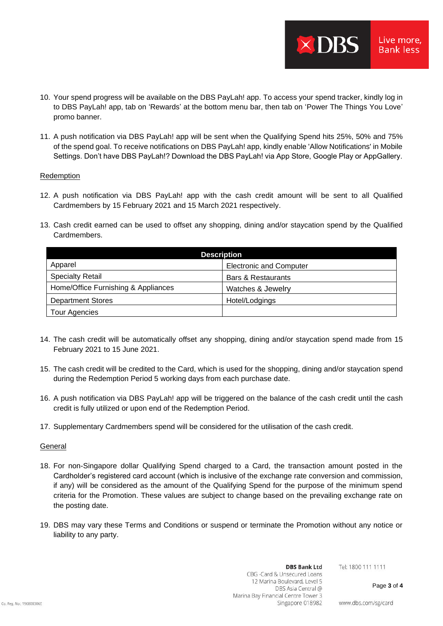10. Your spend progress will be available on the DBS PayLah! app. To access your spend tracker, kindly log in to DBS PayLah! app, tab on 'Rewards' at the bottom menu bar, then tab on 'Power The Things You Love' promo banner.

XDBS

Live more, **Bank less** 

11. A push notification via DBS PayLah! app will be sent when the Qualifying Spend hits 25%, 50% and 75% of the spend goal. To receive notifications on DBS PayLah! app, kindly enable 'Allow Notifications' in Mobile Settings. Don't have DBS PayLah!? Download the DBS PayLah! via App Store, Google Play or AppGallery.

### Redemption

- 12. A push notification via DBS PayLah! app with the cash credit amount will be sent to all Qualified Cardmembers by 15 February 2021 and 15 March 2021 respectively.
- 13. Cash credit earned can be used to offset any shopping, dining and/or staycation spend by the Qualified Cardmembers.

| <b>Description</b>                  |                                |  |
|-------------------------------------|--------------------------------|--|
| Apparel                             | <b>Electronic and Computer</b> |  |
| <b>Specialty Retail</b>             | Bars & Restaurants             |  |
| Home/Office Furnishing & Appliances | Watches & Jewelry              |  |
| <b>Department Stores</b>            | Hotel/Lodgings                 |  |
| Tour Agencies                       |                                |  |

- 14. The cash credit will be automatically offset any shopping, dining and/or staycation spend made from 15 February 2021 to 15 June 2021.
- 15. The cash credit will be credited to the Card, which is used for the shopping, dining and/or staycation spend during the Redemption Period 5 working days from each purchase date.
- 16. A push notification via DBS PayLah! app will be triggered on the balance of the cash credit until the cash credit is fully utilized or upon end of the Redemption Period.
- 17. Supplementary Cardmembers spend will be considered for the utilisation of the cash credit.

#### General

- 18. For non-Singapore dollar Qualifying Spend charged to a Card, the transaction amount posted in the Cardholder's registered card account (which is inclusive of the exchange rate conversion and commission, if any) will be considered as the amount of the Qualifying Spend for the purpose of the minimum spend criteria for the Promotion. These values are subject to change based on the prevailing exchange rate on the posting date.
- 19. DBS may vary these Terms and Conditions or suspend or terminate the Promotion without any notice or liability to any party.

Tel: 1800 111 1111